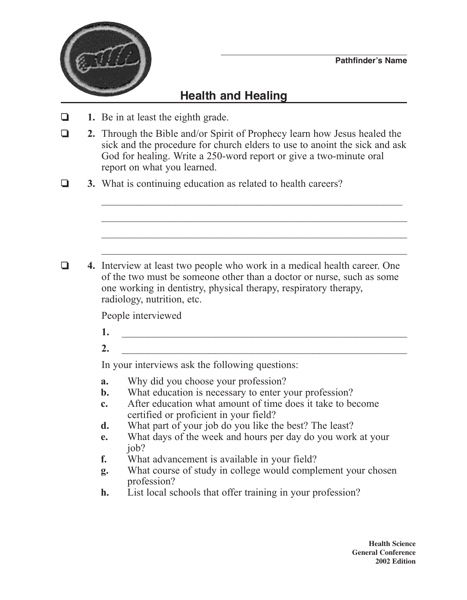

## **Health and Healing**

- ❏ **1.** Be in at least the eighth grade.
- ❏ **2.** Through the Bible and/or Spirit of Prophecy learn how Jesus healed the sick and the procedure for church elders to use to anoint the sick and ask God for healing. Write a 250-word report or give a two-minute oral report on what you learned.

 $\mathcal{L}_\text{max}$  , and the contract of the contract of the contract of the contract of the contract of the contract of the contract of the contract of the contract of the contract of the contract of the contract of the contr

 $\mathcal{L}_\text{max}$  and the contract of the contract of the contract of the contract of the contract of the contract of

 $\mathcal{L}_\text{max}$  and  $\mathcal{L}_\text{max}$  and  $\mathcal{L}_\text{max}$  and  $\mathcal{L}_\text{max}$  and  $\mathcal{L}_\text{max}$  and  $\mathcal{L}_\text{max}$ 

❏ **3.** What is continuing education as related to health careers?

❏ **4.** Interview at least two people who work in a medical health career. One of the two must be someone other than a doctor or nurse, such as some one working in dentistry, physical therapy, respiratory therapy, radiology, nutrition, etc.

People interviewed

- **1.** \_\_\_\_\_\_\_\_\_\_\_\_\_\_\_\_\_\_\_\_\_\_\_\_\_\_\_\_\_\_\_\_\_\_\_\_\_\_\_\_\_\_\_\_\_\_\_\_\_\_\_\_\_\_\_
- $2.$

In your interviews ask the following questions:

- **a.** Why did you choose your profession?
- **b.** What education is necessary to enter your profession?
- **c.** After education what amount of time does it take to become certified or proficient in your field?
- **d.** What part of your job do you like the best? The least?
- **e.** What days of the week and hours per day do you work at your iob?
- **f.** What advancement is available in your field?
- **g.** What course of study in college would complement your chosen profession?
- **h.** List local schools that offer training in your profession?